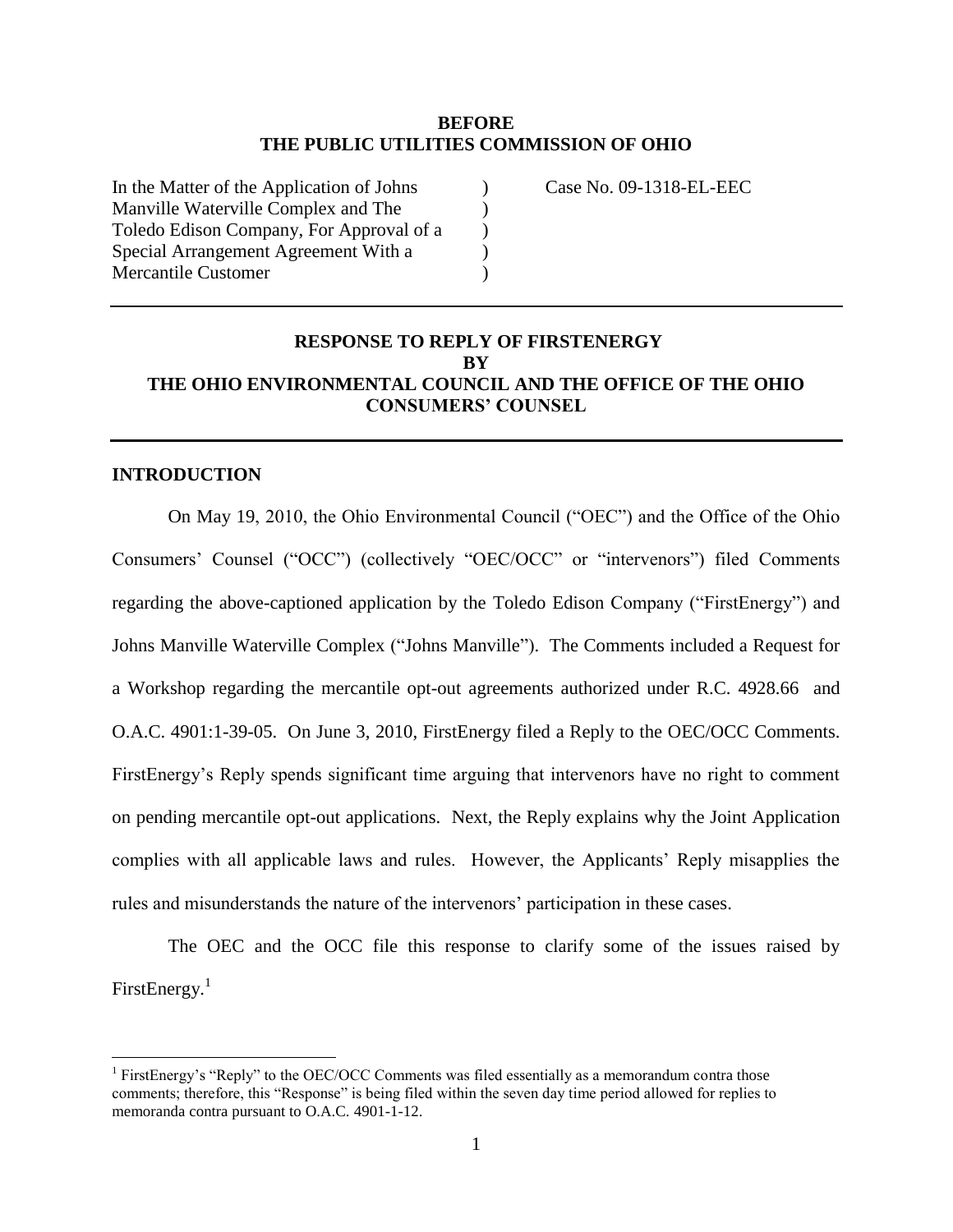### **BEFORE THE PUBLIC UTILITIES COMMISSION OF OHIO**

) ) ) ) )

| In the Matter of the Application of Johns |
|-------------------------------------------|
| Manville Waterville Complex and The       |
| Toledo Edison Company, For Approval of a  |
| Special Arrangement Agreement With a      |
| Mercantile Customer                       |
|                                           |

Case No. 09-1318-EL-EEC

## **RESPONSE TO REPLY OF FIRSTENERGY BY THE OHIO ENVIRONMENTAL COUNCIL AND THE OFFICE OF THE OHIO CONSUMERS' COUNSEL**

#### **INTRODUCTION**

 $\overline{a}$ 

On May 19, 2010, the Ohio Environmental Council ("OEC") and the Office of the Ohio Consumers" Counsel ("OCC") (collectively "OEC/OCC" or "intervenors") filed Comments regarding the above-captioned application by the Toledo Edison Company ("FirstEnergy") and Johns Manville Waterville Complex ("Johns Manville"). The Comments included a Request for a Workshop regarding the mercantile opt-out agreements authorized under R.C. 4928.66 and O.A.C. 4901:1-39-05. On June 3, 2010, FirstEnergy filed a Reply to the OEC/OCC Comments. FirstEnergy"s Reply spends significant time arguing that intervenors have no right to comment on pending mercantile opt-out applications. Next, the Reply explains why the Joint Application complies with all applicable laws and rules. However, the Applicants" Reply misapplies the rules and misunderstands the nature of the intervenors' participation in these cases.

The OEC and the OCC file this response to clarify some of the issues raised by FirstEnergy.<sup>1</sup>

<sup>&</sup>lt;sup>1</sup> FirstEnergy's "Reply" to the OEC/OCC Comments was filed essentially as a memorandum contra those comments; therefore, this "Response" is being filed within the seven day time period allowed for replies to memoranda contra pursuant to O.A.C. 4901-1-12.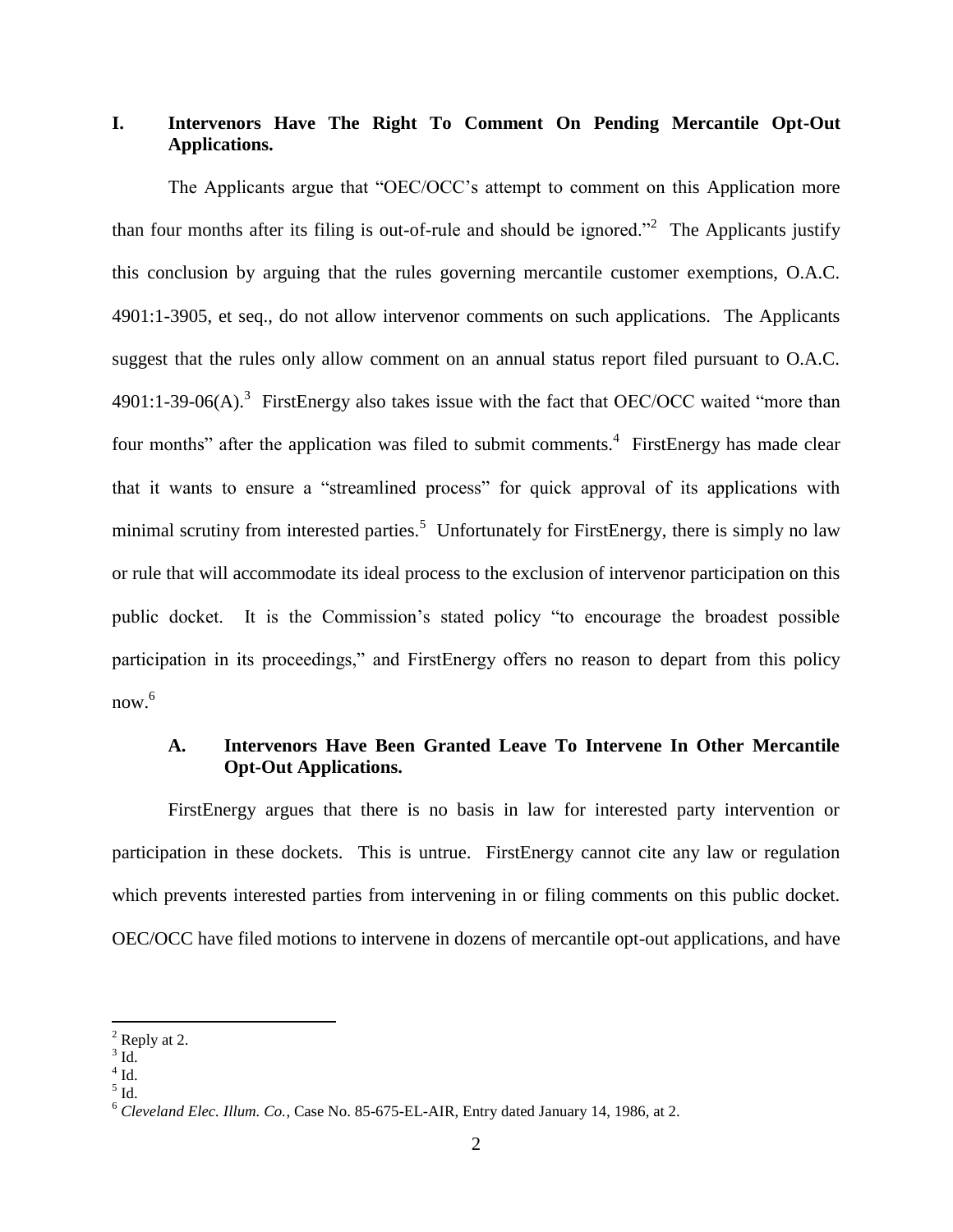# **I. Intervenors Have The Right To Comment On Pending Mercantile Opt-Out Applications.**

The Applicants argue that "OEC/OCC"s attempt to comment on this Application more than four months after its filing is out-of-rule and should be ignored.<sup> $2$ </sup> The Applicants justify this conclusion by arguing that the rules governing mercantile customer exemptions, O.A.C. 4901:1-3905, et seq., do not allow intervenor comments on such applications. The Applicants suggest that the rules only allow comment on an annual status report filed pursuant to O.A.C.  $4901:1-39-06(A).$ <sup>3</sup> FirstEnergy also takes issue with the fact that OEC/OCC waited "more than four months" after the application was filed to submit comments.<sup>4</sup> FirstEnergy has made clear that it wants to ensure a "streamlined process" for quick approval of its applications with minimal scrutiny from interested parties.<sup>5</sup> Unfortunately for FirstEnergy, there is simply no law or rule that will accommodate its ideal process to the exclusion of intervenor participation on this public docket. It is the Commission"s stated policy "to encourage the broadest possible participation in its proceedings," and FirstEnergy offers no reason to depart from this policy  $now.<sup>6</sup>$ 

## **A. Intervenors Have Been Granted Leave To Intervene In Other Mercantile Opt-Out Applications.**

FirstEnergy argues that there is no basis in law for interested party intervention or participation in these dockets. This is untrue. FirstEnergy cannot cite any law or regulation which prevents interested parties from intervening in or filing comments on this public docket. OEC/OCC have filed motions to intervene in dozens of mercantile opt-out applications, and have

 $<sup>2</sup>$  Reply at 2.</sup>

 $3$  Id.

 $4$  Id.

 $<sup>5</sup>$  Id.</sup>

<sup>6</sup> *Cleveland Elec. Illum. Co.*, Case No. 85-675-EL-AIR, Entry dated January 14, 1986, at 2.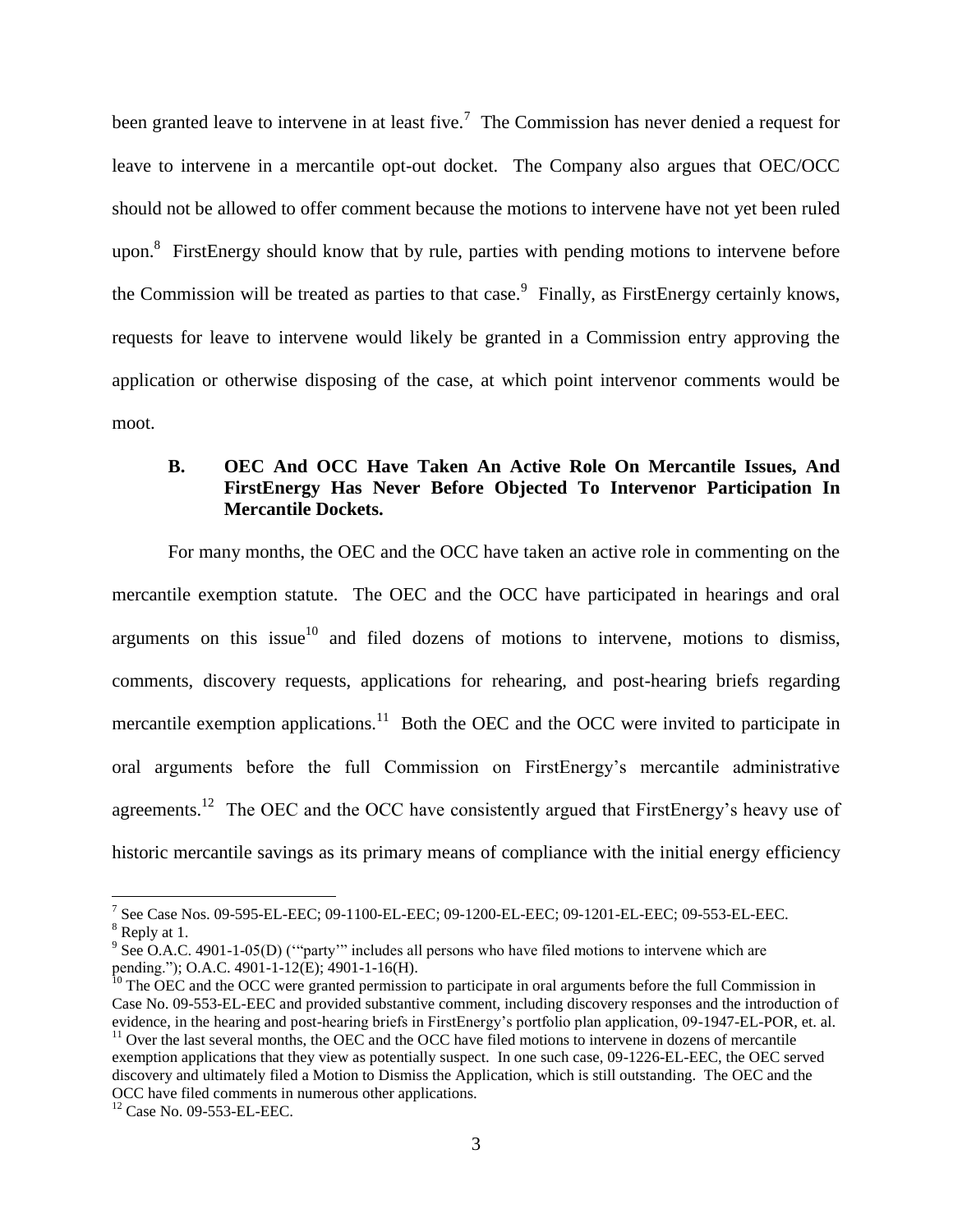been granted leave to intervene in at least five.<sup>7</sup> The Commission has never denied a request for leave to intervene in a mercantile opt-out docket. The Company also argues that OEC/OCC should not be allowed to offer comment because the motions to intervene have not yet been ruled upon. $8$  FirstEnergy should know that by rule, parties with pending motions to intervene before the Commission will be treated as parties to that case.<sup>9</sup> Finally, as FirstEnergy certainly knows, requests for leave to intervene would likely be granted in a Commission entry approving the application or otherwise disposing of the case, at which point intervenor comments would be moot.

## **B. OEC And OCC Have Taken An Active Role On Mercantile Issues, And FirstEnergy Has Never Before Objected To Intervenor Participation In Mercantile Dockets.**

For many months, the OEC and the OCC have taken an active role in commenting on the mercantile exemption statute. The OEC and the OCC have participated in hearings and oral arguments on this issue $10$  and filed dozens of motions to intervene, motions to dismiss, comments, discovery requests, applications for rehearing, and post-hearing briefs regarding mercantile exemption applications.<sup>11</sup> Both the OEC and the OCC were invited to participate in oral arguments before the full Commission on FirstEnergy"s mercantile administrative agreements.<sup>12</sup> The OEC and the OCC have consistently argued that FirstEnergy's heavy use of historic mercantile savings as its primary means of compliance with the initial energy efficiency

<sup>7</sup> See Case Nos. 09-595-EL-EEC; 09-1100-EL-EEC; 09-1200-EL-EEC; 09-1201-EL-EEC; 09-553-EL-EEC.

<sup>&</sup>lt;sup>8</sup> Reply at 1.

 $9^9$  See O.A.C. 4901-1-05(D) ("party" includes all persons who have filed motions to intervene which are pending."); O.A.C. 4901-1-12(E); 4901-1-16(H).

<sup>&</sup>lt;sup>10</sup> The OEC and the OCC were granted permission to participate in oral arguments before the full Commission in Case No. 09-553-EL-EEC and provided substantive comment, including discovery responses and the introduction of evidence, in the hearing and post-hearing briefs in FirstEnergy"s portfolio plan application, 09-1947-EL-POR, et. al.  $11$  Over the last several months, the OEC and the OCC have filed motions to intervene in dozens of mercantile exemption applications that they view as potentially suspect. In one such case, 09-1226-EL-EEC, the OEC served discovery and ultimately filed a Motion to Dismiss the Application, which is still outstanding. The OEC and the OCC have filed comments in numerous other applications.

<sup>&</sup>lt;sup>12</sup> Case No. 09-553-EL-EEC.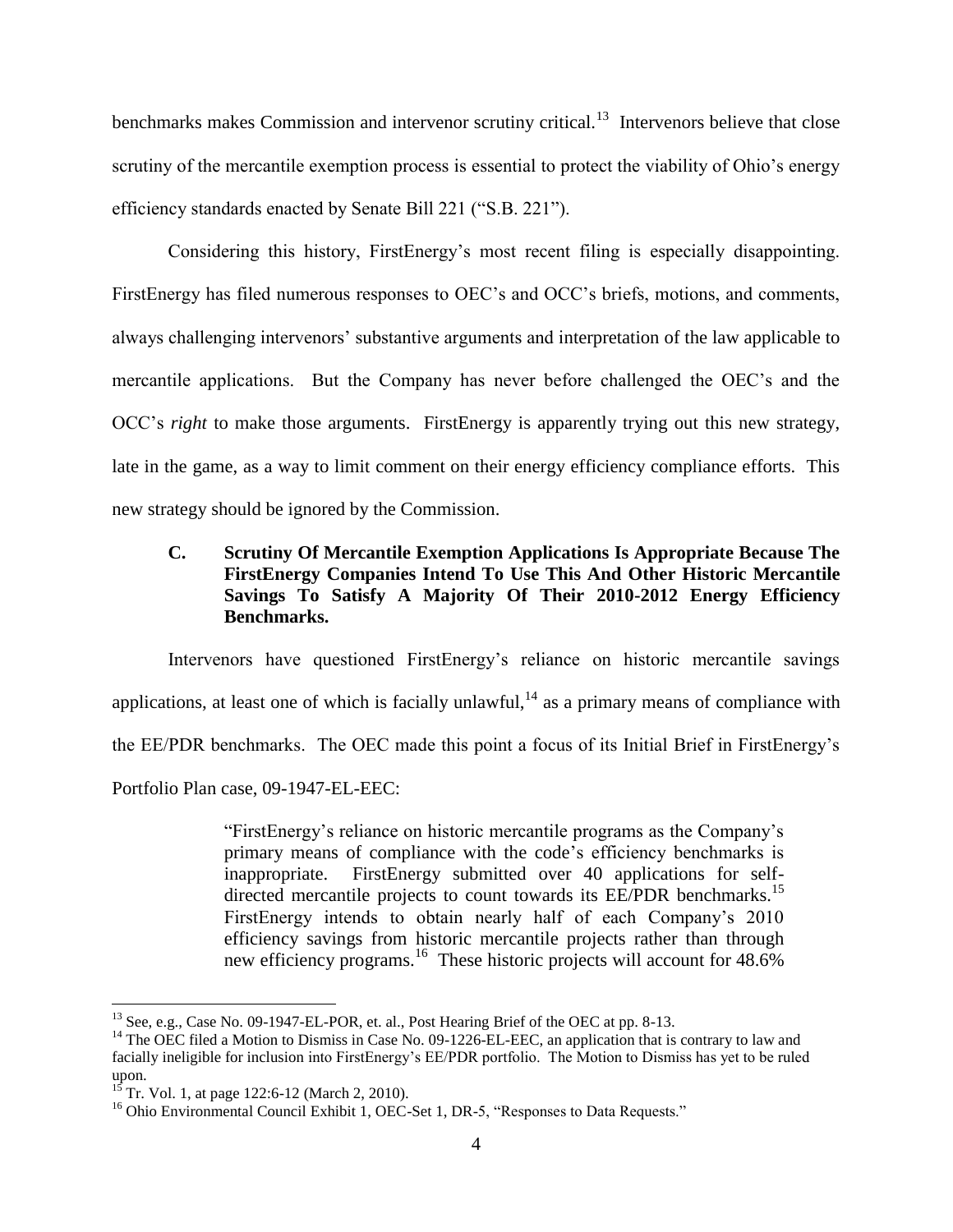benchmarks makes Commission and intervenor scrutiny critical.<sup>13</sup> Intervenors believe that close scrutiny of the mercantile exemption process is essential to protect the viability of Ohio's energy efficiency standards enacted by Senate Bill 221 ("S.B. 221").

Considering this history, FirstEnergy"s most recent filing is especially disappointing. FirstEnergy has filed numerous responses to OEC's and OCC's briefs, motions, and comments, always challenging intervenors" substantive arguments and interpretation of the law applicable to mercantile applications. But the Company has never before challenged the OEC"s and the OCC"s *right* to make those arguments. FirstEnergy is apparently trying out this new strategy, late in the game, as a way to limit comment on their energy efficiency compliance efforts. This new strategy should be ignored by the Commission.

# **C. Scrutiny Of Mercantile Exemption Applications Is Appropriate Because The FirstEnergy Companies Intend To Use This And Other Historic Mercantile Savings To Satisfy A Majority Of Their 2010-2012 Energy Efficiency Benchmarks.**

Intervenors have questioned FirstEnergy"s reliance on historic mercantile savings applications, at least one of which is facially unlawful,  $14$  as a primary means of compliance with the EE/PDR benchmarks. The OEC made this point a focus of its Initial Brief in FirstEnergy"s Portfolio Plan case, 09-1947-EL-EEC:

> "FirstEnergy"s reliance on historic mercantile programs as the Company"s primary means of compliance with the code"s efficiency benchmarks is inappropriate. FirstEnergy submitted over 40 applications for selfdirected mercantile projects to count towards its EE/PDR benchmarks.<sup>15</sup> FirstEnergy intends to obtain nearly half of each Company's 2010 efficiency savings from historic mercantile projects rather than through new efficiency programs.<sup>16</sup> These historic projects will account for 48.6%

<sup>&</sup>lt;sup>13</sup> See, e.g., Case No. 09-1947-EL-POR, et. al., Post Hearing Brief of the OEC at pp. 8-13.

<sup>&</sup>lt;sup>14</sup> The OEC filed a Motion to Dismiss in Case No. 09-1226-EL-EEC, an application that is contrary to law and facially ineligible for inclusion into FirstEnergy"s EE/PDR portfolio. The Motion to Dismiss has yet to be ruled upon.

<sup>&</sup>lt;sup>15</sup> Tr. Vol. 1, at page 122:6-12 (March 2, 2010).

<sup>&</sup>lt;sup>16</sup> Ohio Environmental Council Exhibit 1, OEC-Set 1, DR-5, "Responses to Data Requests."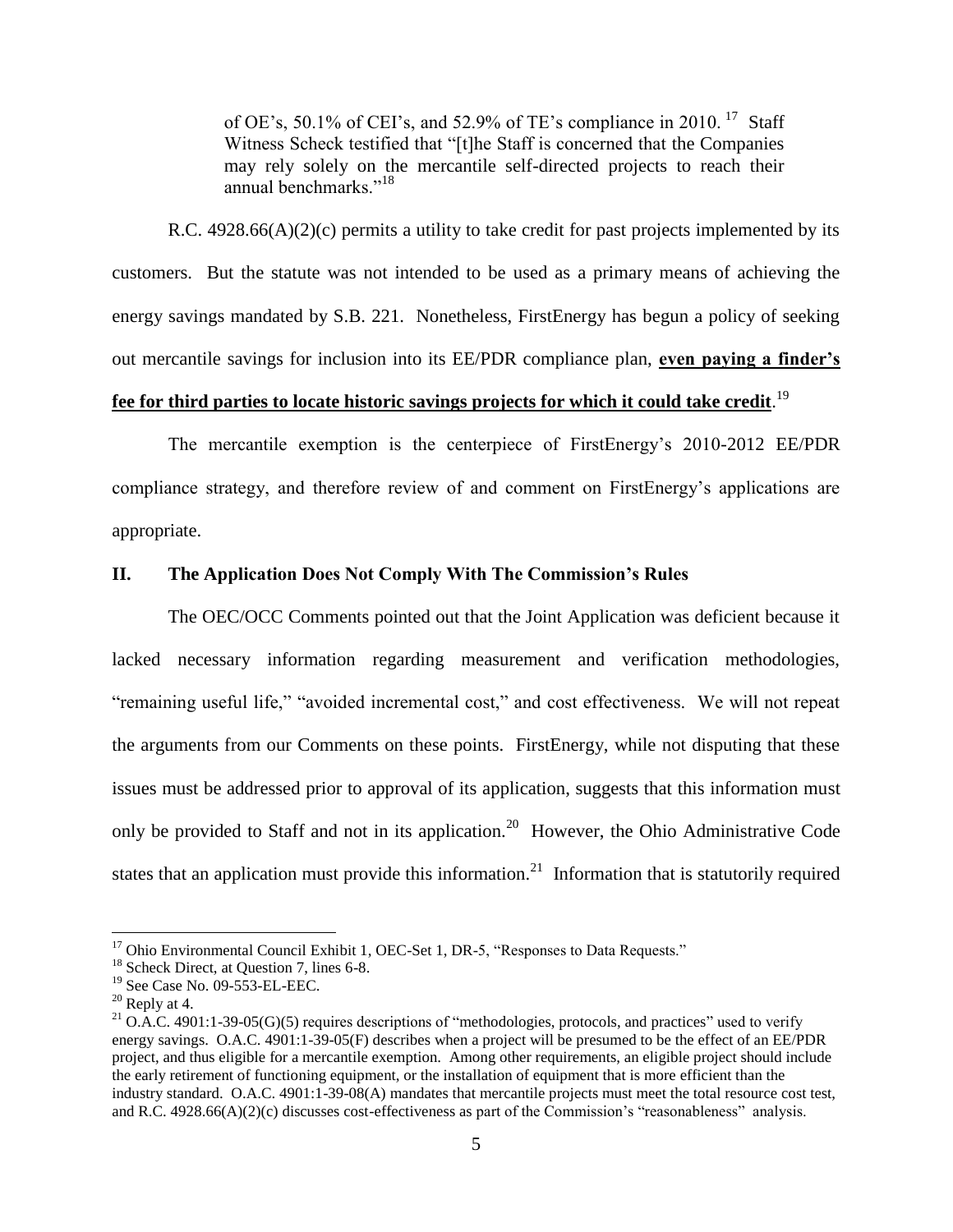of OE's, 50.1% of CEI's, and 52.9% of TE's compliance in 2010.<sup>17</sup> Staff Witness Scheck testified that "[t]he Staff is concerned that the Companies may rely solely on the mercantile self-directed projects to reach their annual benchmarks."<sup>18</sup>

R.C.  $4928.66(A)(2)(c)$  permits a utility to take credit for past projects implemented by its customers. But the statute was not intended to be used as a primary means of achieving the energy savings mandated by S.B. 221. Nonetheless, FirstEnergy has begun a policy of seeking out mercantile savings for inclusion into its EE/PDR compliance plan, **even paying a finder's** 

# **fee for third parties to locate historic savings projects for which it could take credit**. 19

The mercantile exemption is the centerpiece of FirstEnergy"s 2010-2012 EE/PDR compliance strategy, and therefore review of and comment on FirstEnergy"s applications are appropriate.

## **II. The Application Does Not Comply With The Commission's Rules**

The OEC/OCC Comments pointed out that the Joint Application was deficient because it lacked necessary information regarding measurement and verification methodologies, "remaining useful life," "avoided incremental cost," and cost effectiveness. We will not repeat the arguments from our Comments on these points. FirstEnergy, while not disputing that these issues must be addressed prior to approval of its application, suggests that this information must only be provided to Staff and not in its application.<sup>20</sup> However, the Ohio Administrative Code states that an application must provide this information.<sup>21</sup> Information that is statutorily required

<sup>&</sup>lt;sup>17</sup> Ohio Environmental Council Exhibit 1, OEC-Set 1, DR-5, "Responses to Data Requests."

<sup>&</sup>lt;sup>18</sup> Scheck Direct, at Question 7, lines 6-8.

<sup>19</sup> See Case No. 09-553-EL-EEC.

 $20$  Reply at 4.

<sup>&</sup>lt;sup>21</sup> O.A.C. 4901:1-39-05(G)(5) requires descriptions of "methodologies, protocols, and practices" used to verify energy savings. O.A.C. 4901:1-39-05(F) describes when a project will be presumed to be the effect of an EE/PDR project, and thus eligible for a mercantile exemption. Among other requirements, an eligible project should include the early retirement of functioning equipment, or the installation of equipment that is more efficient than the industry standard. O.A.C. 4901:1-39-08(A) mandates that mercantile projects must meet the total resource cost test, and R.C.  $4928.66(A)(2)(c)$  discusses cost-effectiveness as part of the Commission's "reasonableness" analysis.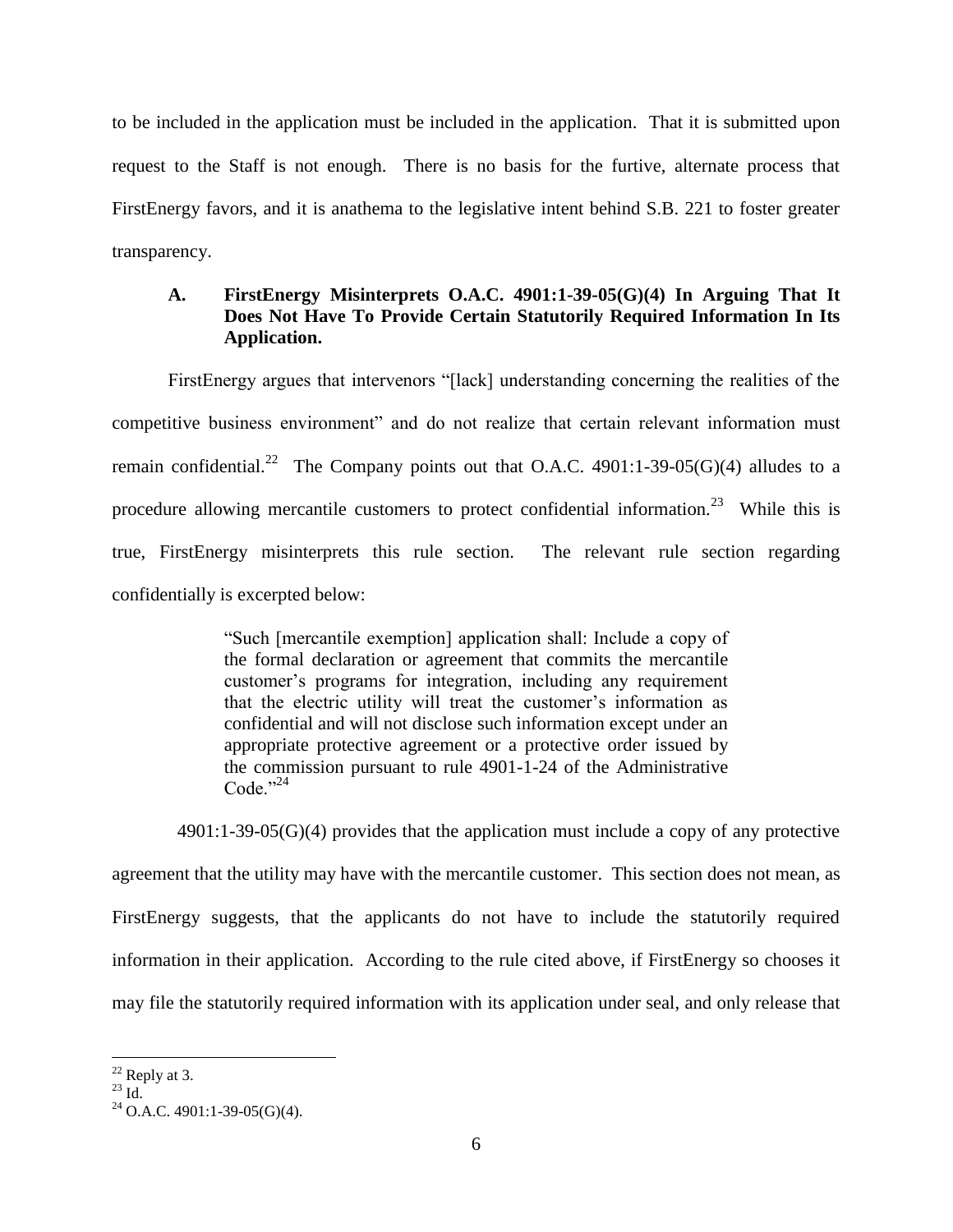to be included in the application must be included in the application. That it is submitted upon request to the Staff is not enough. There is no basis for the furtive, alternate process that FirstEnergy favors, and it is anathema to the legislative intent behind S.B. 221 to foster greater transparency.

# **A. FirstEnergy Misinterprets O.A.C. 4901:1-39-05(G)(4) In Arguing That It Does Not Have To Provide Certain Statutorily Required Information In Its Application.**

FirstEnergy argues that intervenors "[lack] understanding concerning the realities of the competitive business environment" and do not realize that certain relevant information must remain confidential.<sup>22</sup> The Company points out that O.A.C. 4901:1-39-05(G)(4) alludes to a procedure allowing mercantile customers to protect confidential information.<sup>23</sup> While this is true, FirstEnergy misinterprets this rule section. The relevant rule section regarding confidentially is excerpted below:

> "Such [mercantile exemption] application shall: Include a copy of the formal declaration or agreement that commits the mercantile customer"s programs for integration, including any requirement that the electric utility will treat the customer"s information as confidential and will not disclose such information except under an appropriate protective agreement or a protective order issued by the commission pursuant to rule 4901-1-24 of the Administrative Code." $^{24}$

 4901:1-39-05(G)(4) provides that the application must include a copy of any protective agreement that the utility may have with the mercantile customer. This section does not mean, as FirstEnergy suggests, that the applicants do not have to include the statutorily required information in their application. According to the rule cited above, if FirstEnergy so chooses it may file the statutorily required information with its application under seal, and only release that

 $22$  Reply at 3.

 $^{23}$  Id.

 $24$  O.A.C. 4901:1-39-05(G)(4).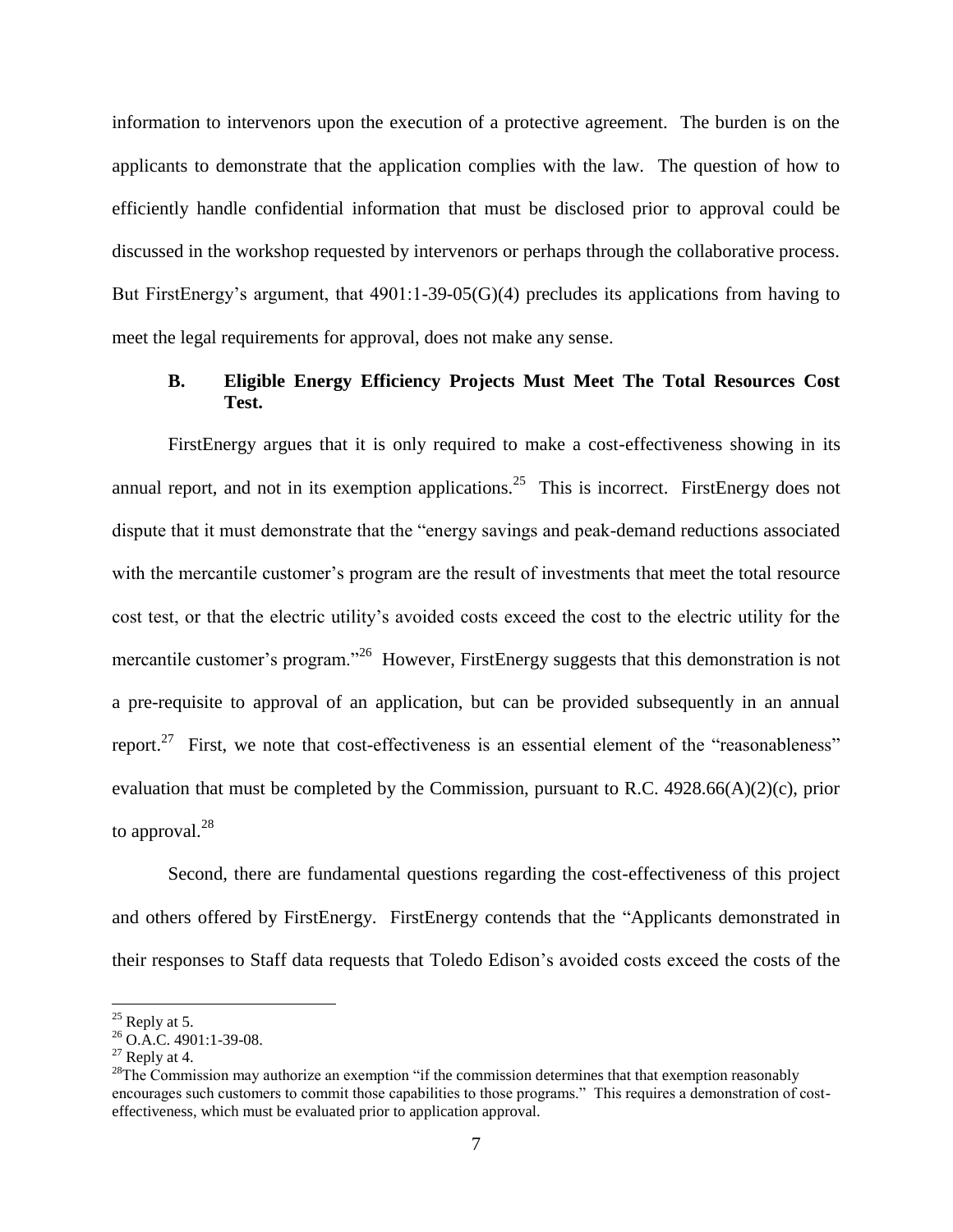information to intervenors upon the execution of a protective agreement. The burden is on the applicants to demonstrate that the application complies with the law. The question of how to efficiently handle confidential information that must be disclosed prior to approval could be discussed in the workshop requested by intervenors or perhaps through the collaborative process. But FirstEnergy's argument, that  $4901:1-39-05(G)(4)$  precludes its applications from having to meet the legal requirements for approval, does not make any sense.

## **B. Eligible Energy Efficiency Projects Must Meet The Total Resources Cost Test.**

FirstEnergy argues that it is only required to make a cost-effectiveness showing in its annual report, and not in its exemption applications.<sup>25</sup> This is incorrect. FirstEnergy does not dispute that it must demonstrate that the "energy savings and peak-demand reductions associated with the mercantile customer's program are the result of investments that meet the total resource cost test, or that the electric utility"s avoided costs exceed the cost to the electric utility for the mercantile customer's program."<sup>26</sup> However, FirstEnergy suggests that this demonstration is not a pre-requisite to approval of an application, but can be provided subsequently in an annual report.<sup>27</sup> First, we note that cost-effectiveness is an essential element of the "reasonableness" evaluation that must be completed by the Commission, pursuant to R.C.  $4928.66(A)(2)(c)$ , prior to approval. $^{28}$ 

Second, there are fundamental questions regarding the cost-effectiveness of this project and others offered by FirstEnergy. FirstEnergy contends that the "Applicants demonstrated in their responses to Staff data requests that Toledo Edison"s avoided costs exceed the costs of the

 $25$  Reply at 5.

 $^{26}$  O.A.C. 4901:1-39-08.

 $27$  Reply at 4.

<sup>&</sup>lt;sup>28</sup>The Commission may authorize an exemption "if the commission determines that that exemption reasonably encourages such customers to commit those capabilities to those programs." This requires a demonstration of costeffectiveness, which must be evaluated prior to application approval.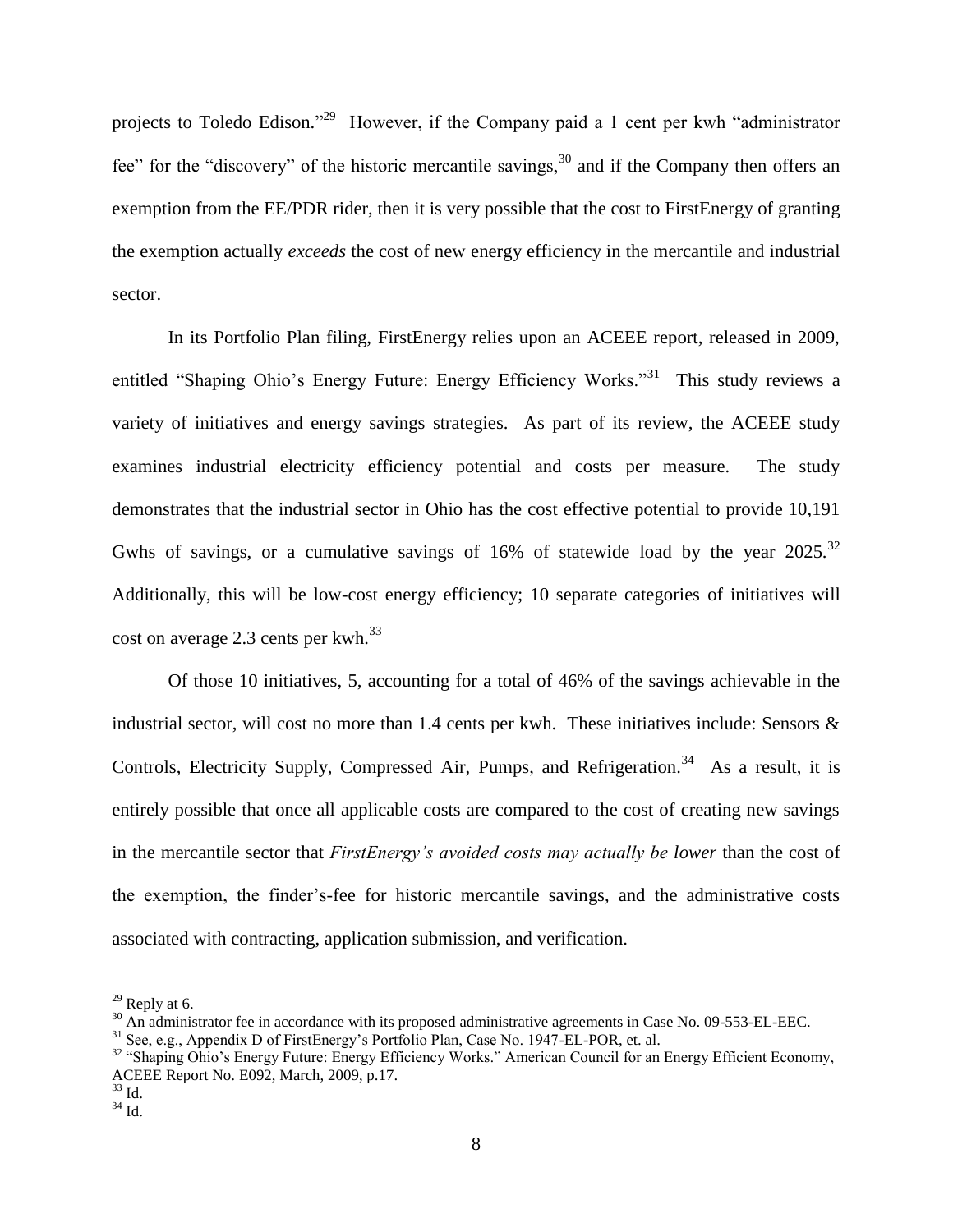projects to Toledo Edison."<sup>29</sup> However, if the Company paid a 1 cent per kwh "administrator fee" for the "discovery" of the historic mercantile savings,  $30$  and if the Company then offers an exemption from the EE/PDR rider, then it is very possible that the cost to FirstEnergy of granting the exemption actually *exceeds* the cost of new energy efficiency in the mercantile and industrial sector.

In its Portfolio Plan filing, FirstEnergy relies upon an ACEEE report, released in 2009, entitled "Shaping Ohio's Energy Future: Energy Efficiency Works."<sup>31</sup> This study reviews a variety of initiatives and energy savings strategies. As part of its review, the ACEEE study examines industrial electricity efficiency potential and costs per measure. The study demonstrates that the industrial sector in Ohio has the cost effective potential to provide 10,191 Gwhs of savings, or a cumulative savings of 16% of statewide load by the year 2025.<sup>32</sup> Additionally, this will be low-cost energy efficiency; 10 separate categories of initiatives will cost on average 2.3 cents per  $kwh.<sup>33</sup>$ 

Of those 10 initiatives, 5, accounting for a total of 46% of the savings achievable in the industrial sector, will cost no more than 1.4 cents per kwh. These initiatives include: Sensors & Controls, Electricity Supply, Compressed Air, Pumps, and Refrigeration.<sup>34</sup> As a result, it is entirely possible that once all applicable costs are compared to the cost of creating new savings in the mercantile sector that *FirstEnergy's avoided costs may actually be lower* than the cost of the exemption, the finder"s-fee for historic mercantile savings, and the administrative costs associated with contracting, application submission, and verification.

 $^{29}$  Reply at 6.

<sup>&</sup>lt;sup>30</sup> An administrator fee in accordance with its proposed administrative agreements in Case No. 09-553-EL-EEC.

<sup>31</sup> See, e.g., Appendix D of FirstEnergy"s Portfolio Plan, Case No. 1947-EL-POR, et. al.

<sup>&</sup>lt;sup>32</sup> "Shaping Ohio's Energy Future: Energy Efficiency Works." American Council for an Energy Efficient Economy, ACEEE Report No. E092, March, 2009, p.17.

 $33 \mathrm{Id}$ .

 $34$  Id.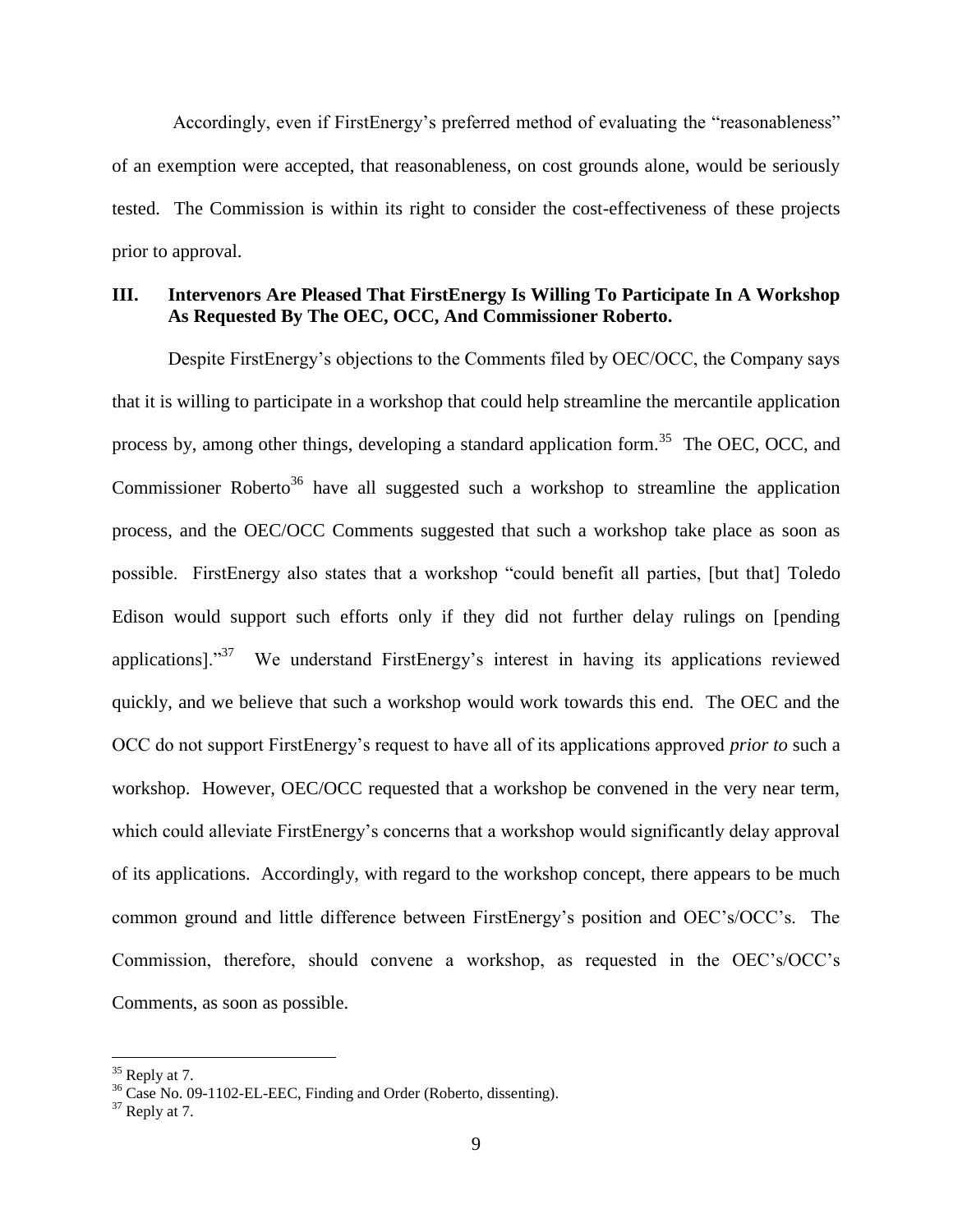Accordingly, even if FirstEnergy's preferred method of evaluating the "reasonableness" of an exemption were accepted, that reasonableness, on cost grounds alone, would be seriously tested. The Commission is within its right to consider the cost-effectiveness of these projects prior to approval.

## **III. Intervenors Are Pleased That FirstEnergy Is Willing To Participate In A Workshop As Requested By The OEC, OCC, And Commissioner Roberto.**

Despite FirstEnergy"s objections to the Comments filed by OEC/OCC, the Company says that it is willing to participate in a workshop that could help streamline the mercantile application process by, among other things, developing a standard application form.<sup>35</sup> The OEC, OCC, and Commissioner Roberto<sup>36</sup> have all suggested such a workshop to streamline the application process, and the OEC/OCC Comments suggested that such a workshop take place as soon as possible. FirstEnergy also states that a workshop "could benefit all parties, [but that] Toledo Edison would support such efforts only if they did not further delay rulings on [pending applications]."<sup>37</sup> We understand FirstEnergy's interest in having its applications reviewed quickly, and we believe that such a workshop would work towards this end. The OEC and the OCC do not support FirstEnergy"s request to have all of its applications approved *prior to* such a workshop. However, OEC/OCC requested that a workshop be convened in the very near term, which could alleviate FirstEnergy's concerns that a workshop would significantly delay approval of its applications. Accordingly, with regard to the workshop concept, there appears to be much common ground and little difference between FirstEnergy"s position and OEC"s/OCC"s. The Commission, therefore, should convene a workshop, as requested in the OEC"s/OCC"s Comments, as soon as possible.

 $35$  Reply at 7.

<sup>&</sup>lt;sup>36</sup> Case No. 09-1102-EL-EEC, Finding and Order (Roberto, dissenting).

 $37$  Reply at 7.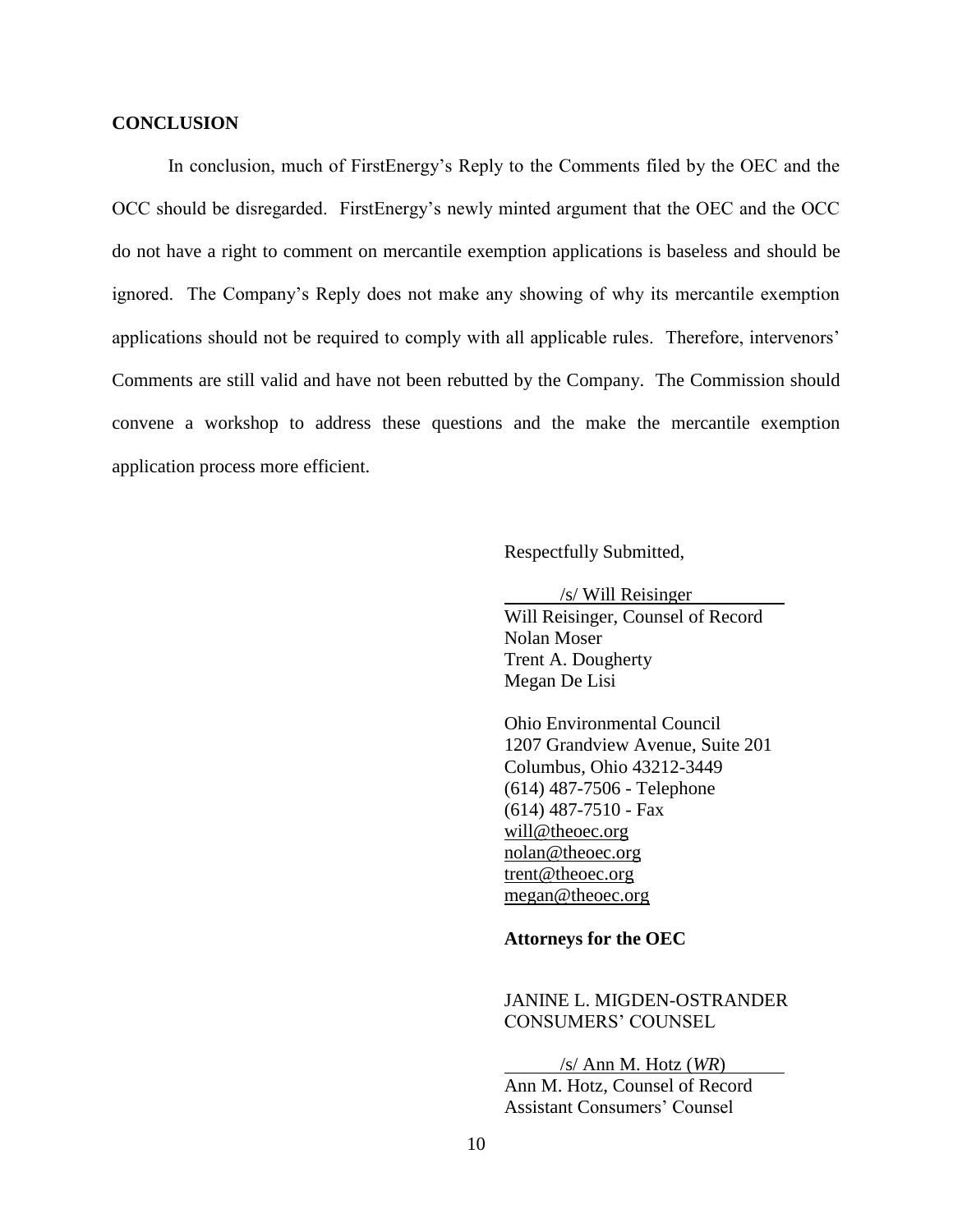#### **CONCLUSION**

In conclusion, much of FirstEnergy"s Reply to the Comments filed by the OEC and the OCC should be disregarded. FirstEnergy"s newly minted argument that the OEC and the OCC do not have a right to comment on mercantile exemption applications is baseless and should be ignored. The Company"s Reply does not make any showing of why its mercantile exemption applications should not be required to comply with all applicable rules. Therefore, intervenors' Comments are still valid and have not been rebutted by the Company. The Commission should convene a workshop to address these questions and the make the mercantile exemption application process more efficient.

Respectfully Submitted,

/s/ Will Reisinger Will Reisinger, Counsel of Record Nolan Moser Trent A. Dougherty Megan De Lisi

Ohio Environmental Council 1207 Grandview Avenue, Suite 201 Columbus, Ohio 43212-3449 (614) 487-7506 - Telephone (614) 487-7510 - Fax will@theoec.org [nolan@theoec.org](mailto:nolan@theoec.org) [trent@theoec.org](mailto:trent@theoec.org) [megan@theoec.org](mailto:megan@theoec.org)

#### **Attorneys for the OEC**

# JANINE L. MIGDEN-OSTRANDER CONSUMERS" COUNSEL

/s/ Ann M. Hotz (*WR*)

Ann M. Hotz, Counsel of Record **Assistant Consumers' Counsel**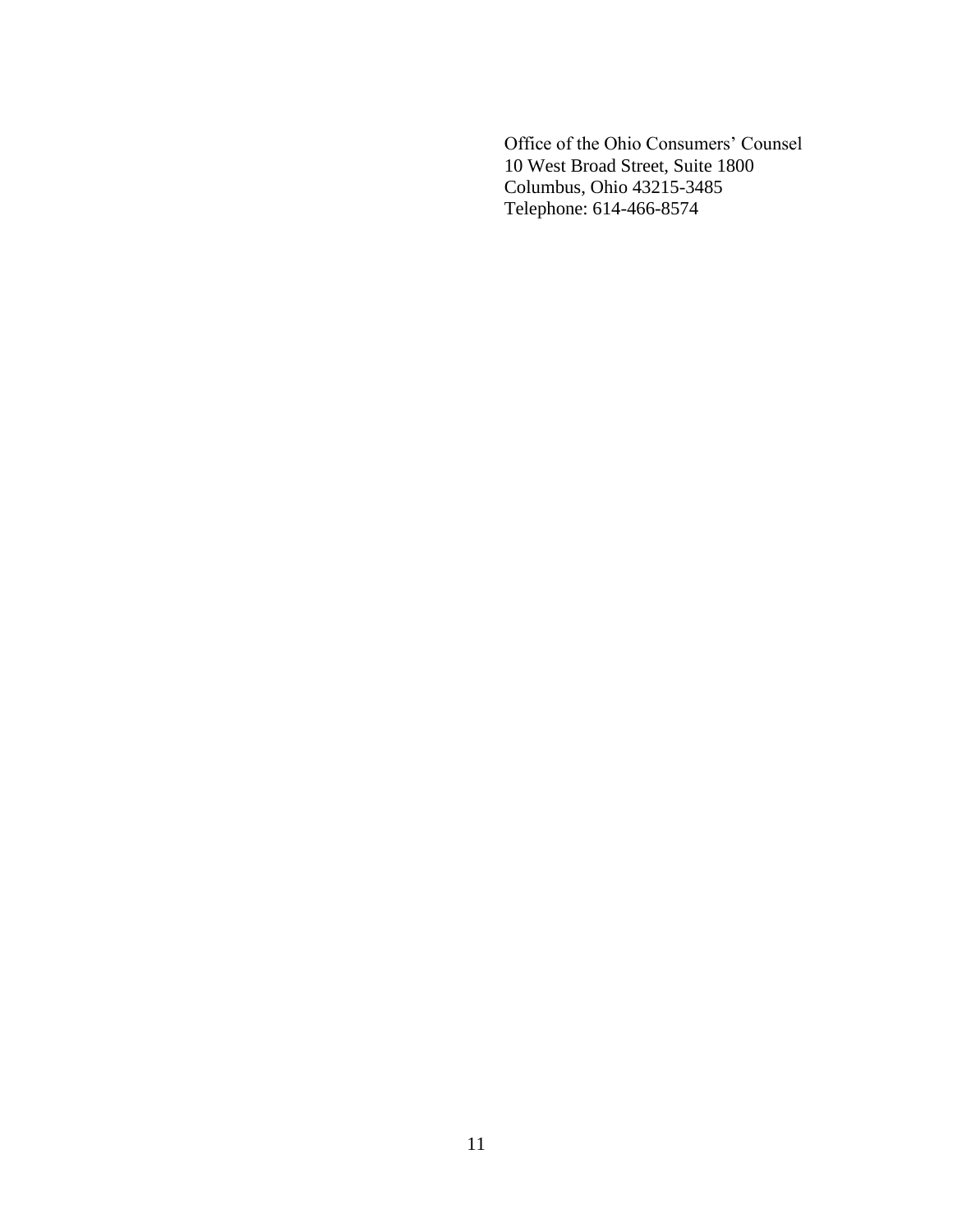Office of the Ohio Consumers' Counsel 10 West Broad Street, Suite 1800 Columbus, Ohio 43215-3485 Telephone: 614-466-8574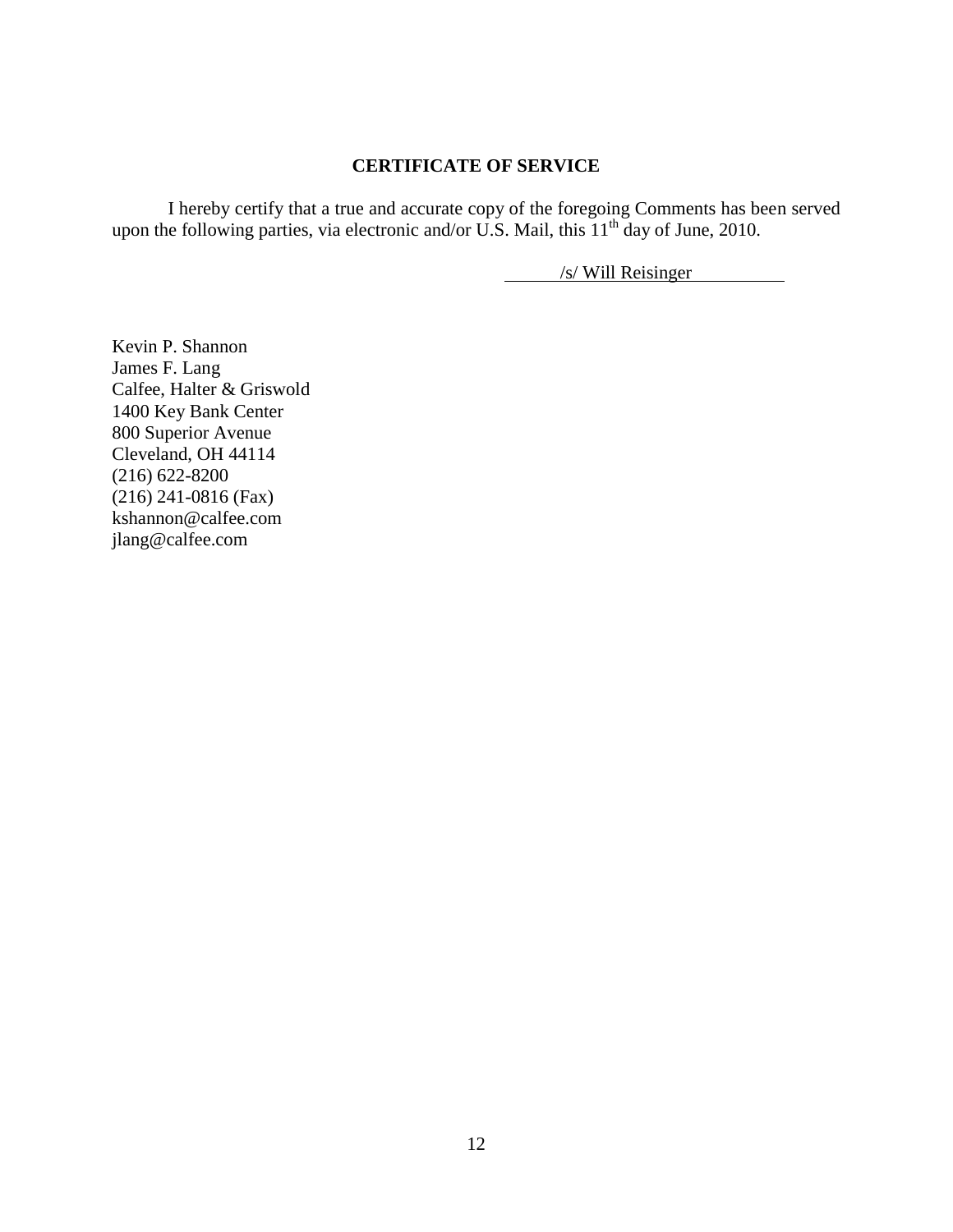## **CERTIFICATE OF SERVICE**

I hereby certify that a true and accurate copy of the foregoing Comments has been served upon the following parties, via electronic and/or U.S. Mail, this  $11<sup>th</sup>$  day of June, 2010.

/s/ Will Reisinger

Kevin P. Shannon James F. Lang Calfee, Halter & Griswold 1400 Key Bank Center 800 Superior Avenue Cleveland, OH 44114 (216) 622-8200 (216) 241-0816 (Fax) [kshannon@calfee.com](mailto:kshannon@calfee.com) [jlang@calfee.com](mailto:jlang@calfee.com)